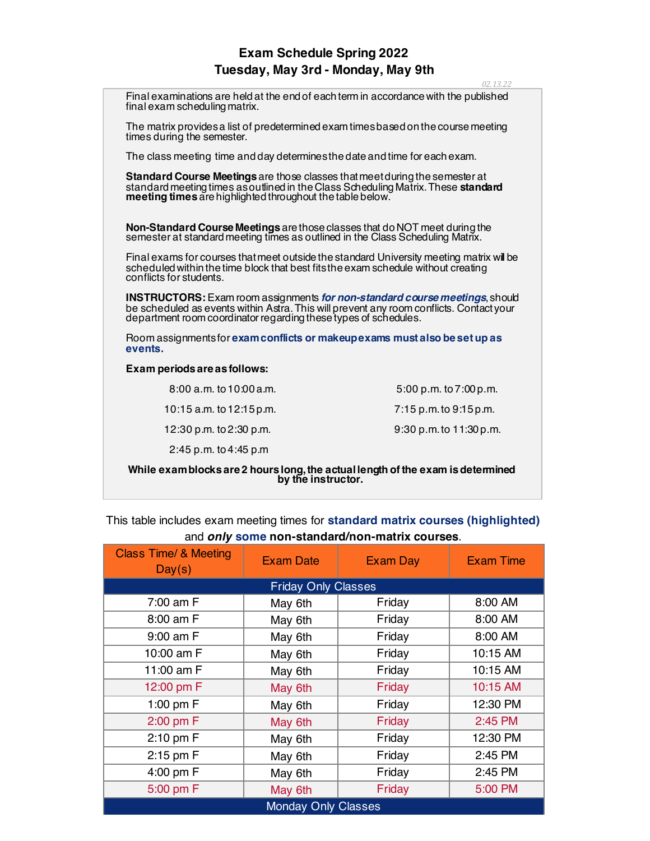## **Exam Schedule Spring 2022 Tuesday, May 3rd - Monday, May 9th**

|                                                                                                                                                                                                                                                 | 02.13.22                |  |  |
|-------------------------------------------------------------------------------------------------------------------------------------------------------------------------------------------------------------------------------------------------|-------------------------|--|--|
| Final examinations are held at the end of each term in accordance with the published<br>final exam scheduling matrix.                                                                                                                           |                         |  |  |
| The matrix provides a list of predetermined exam times based on the course meeting<br>times during the semester.                                                                                                                                |                         |  |  |
| The class meeting time and day determines the date and time for each exam.                                                                                                                                                                      |                         |  |  |
| Standard Course Meetings are those classes that meet during the semester at<br>standard meeting times as outlined in the Class Scheduling Matrix. These standard<br>meeting times are highlighted throughout the table below.                   |                         |  |  |
| Non-Standard Course Meetings are those classes that do NOT meet during the<br>semester at standard meeting times as outlined in the Class Scheduling Matrix.                                                                                    |                         |  |  |
| Final exams for courses that meet outside the standard University meeting matrix will be<br>scheduled within the time block that best fits the exam schedule without creating<br>conflicts for students.                                        |                         |  |  |
| <b>INSTRUCTORS:</b> Exam room assignments for non-standard course meetings, should<br>be scheduled as events within Astra. This will prevent any room conflicts. Contactyour<br>department room coordinator regarding these types of schedules. |                         |  |  |
| Room assignments for exam conflicts or makeupexams must also be set up as<br>events.                                                                                                                                                            |                         |  |  |
| Exam periods are as follows:                                                                                                                                                                                                                    |                         |  |  |
| $8:00$ a.m. to $10:00$ a.m.                                                                                                                                                                                                                     | 5:00 p.m. to 7:00 p.m.  |  |  |
| 10:15 a.m. to 12:15 p.m.                                                                                                                                                                                                                        | 7:15 p.m. to 9:15 p.m.  |  |  |
| 12:30 p.m. to 2:30 p.m.                                                                                                                                                                                                                         | 9:30 p.m. to 11:30 p.m. |  |  |
| 2:45 p.m. to 4:45 p.m                                                                                                                                                                                                                           |                         |  |  |
| While exam blocks are 2 hours long, the actual length of the exam is determined<br>by the instructor.                                                                                                                                           |                         |  |  |

| This table includes exam meeting times for standard matrix courses (highlighted) |  |  |  |  |
|----------------------------------------------------------------------------------|--|--|--|--|
| and only some non-standard/non-matrix courses.                                   |  |  |  |  |

| <b>Class Time/ &amp; Meeting</b><br>Day(s) | <b>Exam Date</b> | <b>Exam Day</b> | <b>Exam Time</b> |
|--------------------------------------------|------------------|-----------------|------------------|
| <b>Friday Only Classes</b>                 |                  |                 |                  |
| 7:00 am F                                  | May 6th          | Friday          | 8:00 AM          |
| 8:00 am F                                  | May 6th          | Friday          | 8:00 AM          |
| 9:00 am F                                  | May 6th          | Friday          | 8:00 AM          |
| 10:00 am F                                 | May 6th          | Friday          | 10:15 AM         |
| 11:00 am F                                 | May 6th          | Friday          | 10:15 AM         |
| 12:00 pm F                                 | May 6th          | Friday          | 10:15 AM         |
| 1:00 pm F                                  | May 6th          | Friday          | 12:30 PM         |
| 2:00 pm F                                  | May 6th          | Friday          | 2:45 PM          |
| $2:10$ pm $F$                              | May 6th          | Friday          | 12:30 PM         |
| 2:15 pm F                                  | May 6th          | Friday          | 2:45 PM          |
| 4:00 pm F                                  | May 6th          | Friday          | 2:45 PM          |
| 5:00 pm F                                  | May 6th          | Friday          | 5:00 PM          |
| <b>Monday Only Classes</b>                 |                  |                 |                  |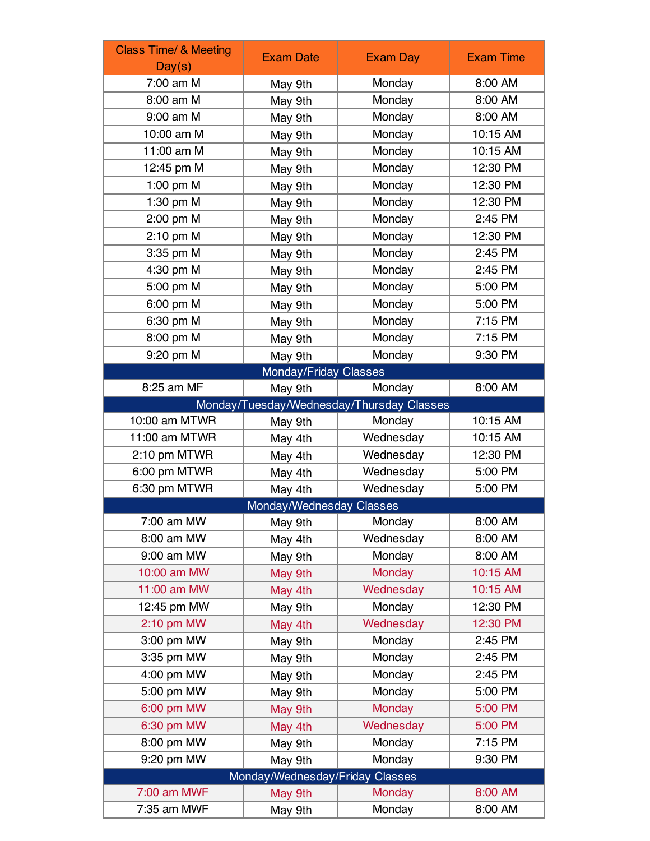| <b>Class Time/ &amp; Meeting</b> | <b>Exam Date</b>                | <b>Exam Day</b>                           | <b>Exam Time</b> |
|----------------------------------|---------------------------------|-------------------------------------------|------------------|
| Day(s)                           |                                 |                                           |                  |
| 7:00 am M                        | May 9th                         | Monday                                    | 8:00 AM          |
| 8:00 am M                        | May 9th                         | Monday                                    | 8:00 AM          |
| 9:00 am M                        | May 9th                         | Monday                                    | 8:00 AM          |
| 10:00 am M                       | May 9th                         | Monday                                    | 10:15 AM         |
| 11:00 am M                       | May 9th                         | Monday                                    | 10:15 AM         |
| 12:45 pm M                       | May 9th                         | Monday                                    | 12:30 PM         |
| 1:00 pm M                        | May 9th                         | Monday                                    | 12:30 PM         |
| 1:30 pm M                        | May 9th                         | Monday                                    | 12:30 PM         |
| 2:00 pm M                        | May 9th                         | Monday                                    | 2:45 PM          |
| 2:10 pm M                        | May 9th                         | Monday                                    | 12:30 PM         |
| 3:35 pm M                        | May 9th                         | Monday                                    | 2:45 PM          |
| 4:30 pm M                        | May 9th                         | Monday                                    | 2:45 PM          |
| 5:00 pm M                        | May 9th                         | Monday                                    | 5:00 PM          |
| 6:00 pm M                        | May 9th                         | Monday                                    | 5:00 PM          |
| 6:30 pm M                        | May 9th                         | Monday                                    | 7:15 PM          |
| 8:00 pm M                        | May 9th                         | Monday                                    | 7:15 PM          |
| 9:20 pm M                        | May 9th                         | Monday                                    | 9:30 PM          |
|                                  | Monday/Friday Classes           |                                           |                  |
| 8:25 am MF                       | May 9th                         | Monday                                    | 8:00 AM          |
|                                  |                                 | Monday/Tuesday/Wednesday/Thursday Classes |                  |
| 10:00 am MTWR                    | May 9th                         | Monday                                    | 10:15 AM         |
| 11:00 am MTWR                    | May 4th                         | Wednesday                                 | 10:15 AM         |
| 2:10 pm MTWR                     | May 4th                         | Wednesday                                 | 12:30 PM         |
| 6:00 pm MTWR                     | May 4th                         | Wednesday                                 | 5:00 PM          |
| 6:30 pm MTWR                     | May 4th                         | Wednesday                                 | 5:00 PM          |
| Monday/Wednesday Classes         |                                 |                                           |                  |
| 7:00 am MW                       | May 9th                         | Monday                                    | 8:00 AM          |
| 8:00 am MW                       | May 4th                         | Wednesday                                 | 8:00 AM          |
| 9:00 am MW                       | May 9th                         | Monday                                    | 8:00 AM          |
| 10:00 am MW                      | May 9th                         | <b>Monday</b>                             | 10:15 AM         |
| 11:00 am MW                      | May 4th                         | Wednesday                                 | 10:15 AM         |
| 12:45 pm MW                      | May 9th                         | Monday                                    | 12:30 PM         |
| 2:10 pm MW                       | May 4th                         | Wednesday                                 | 12:30 PM         |
| 3:00 pm MW                       | May 9th                         | Monday                                    | 2:45 PM          |
| 3:35 pm MW                       | May 9th                         | Monday                                    | 2:45 PM          |
| 4:00 pm MW                       | May 9th                         | Monday                                    | 2:45 PM          |
| 5:00 pm MW                       | May 9th                         | Monday                                    | 5:00 PM          |
| 6:00 pm MW                       | May 9th                         | <b>Monday</b>                             | 5:00 PM          |
| 6:30 pm MW                       | May 4th                         | Wednesday                                 | 5:00 PM          |
| 8:00 pm MW                       | May 9th                         | Monday                                    | 7:15 PM          |
| 9:20 pm MW                       | May 9th                         | Monday                                    | 9:30 PM          |
|                                  | Monday/Wednesday/Friday Classes |                                           |                  |
| 7:00 am MWF                      | May 9th                         | <b>Monday</b>                             | 8:00 AM          |
| 7:35 am MWF                      | May 9th                         | Monday                                    | 8:00 AM          |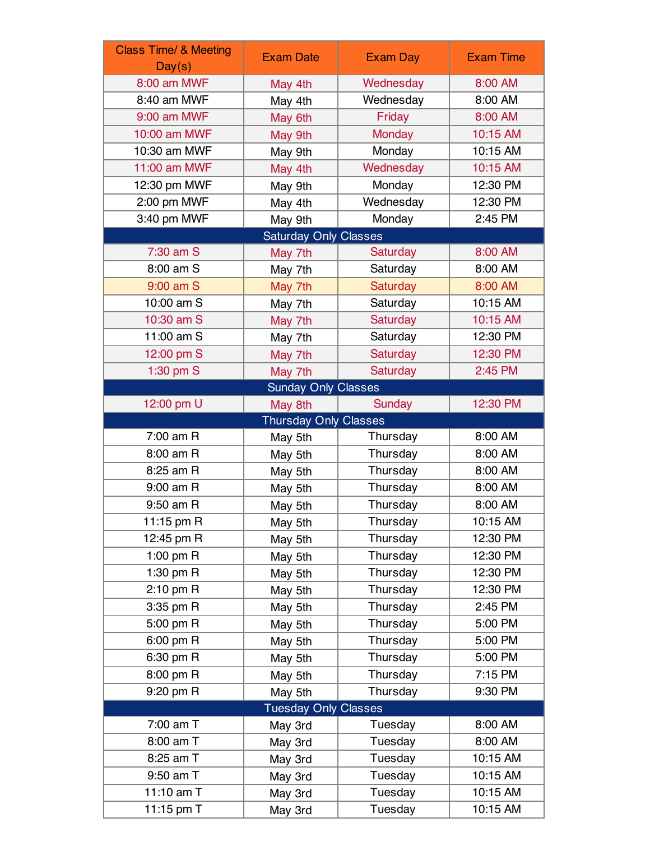| <b>Class Time/ &amp; Meeting</b> | <b>Exam Date</b>             | <b>Exam Day</b> | <b>Exam Time</b> |
|----------------------------------|------------------------------|-----------------|------------------|
| Day(s)<br>8:00 am MWF            | May 4th                      | Wednesday       | 8:00 AM          |
| 8:40 am MWF                      | May 4th                      | Wednesday       | 8:00 AM          |
| 9:00 am MWF                      | May 6th                      | Friday          | 8:00 AM          |
| 10:00 am MWF                     | May 9th                      | Monday          | 10:15 AM         |
| 10:30 am MWF                     | May 9th                      | Monday          | 10:15 AM         |
| 11:00 am MWF                     | May 4th                      | Wednesday       | 10:15 AM         |
| 12:30 pm MWF                     | May 9th                      | Monday          | 12:30 PM         |
| 2:00 pm MWF                      | May 4th                      | Wednesday       | 12:30 PM         |
| 3:40 pm MWF                      | May 9th                      | Monday          | 2:45 PM          |
|                                  | Saturday Only Classes        |                 |                  |
| 7:30 am S                        | May 7th                      | Saturday        | 8:00 AM          |
| 8:00 am S                        | May 7th                      | Saturday        | 8:00 AM          |
| 9:00 am S                        | May 7th                      | Saturday        | 8:00 AM          |
| 10:00 am S                       | May 7th                      | Saturday        | 10:15 AM         |
| 10:30 am S                       | May 7th                      | Saturday        | 10:15 AM         |
| 11:00 am S                       | May 7th                      | Saturday        | 12:30 PM         |
| 12:00 pm S                       | May 7th                      | Saturday        | 12:30 PM         |
| 1:30 pm S                        | May 7th                      | Saturday        | 2:45 PM          |
|                                  | <b>Sunday Only Classes</b>   |                 |                  |
| 12:00 pm U                       | May 8th                      | <b>Sunday</b>   | 12:30 PM         |
|                                  | <b>Thursday Only Classes</b> |                 |                  |
| $7:00$ am R                      | May 5th                      | Thursday        | 8:00 AM          |
| 8:00 am R                        | May 5th                      | Thursday        | 8:00 AM          |
| 8:25 am R                        | May 5th                      | Thursday        | 8:00 AM          |
| 9:00 am R                        | May 5th                      | Thursday        | 8:00 AM          |
| 9:50 am R                        | May 5th                      | Thursday        | 8:00 AM          |
| 11:15 pm R                       | May 5th                      | Thursday        | 10:15 AM         |
| 12:45 pm R                       | May 5th                      | Thursday        | 12:30 PM         |
| 1:00 pm $R$                      | May 5th                      | Thursday        | 12:30 PM         |
| 1:30 pm R                        | May 5th                      | Thursday        | 12:30 PM         |
| $2:10$ pm R                      | May 5th                      | Thursday        | 12:30 PM         |
| 3:35 pm R                        | May 5th                      | Thursday        | 2:45 PM          |
| 5:00 pm R                        | May 5th                      | Thursday        | 5:00 PM          |
| 6:00 pm R                        | May 5th                      | Thursday        | 5:00 PM          |
| 6:30 pm R                        | May 5th                      | Thursday        | 5:00 PM          |
| 8:00 pm R                        | May 5th                      | Thursday        | 7:15 PM          |
| 9:20 pm R                        | May 5th                      | Thursday        | 9:30 PM          |
| <b>Tuesday Only Classes</b>      |                              |                 |                  |
| 7:00 am T                        | May 3rd                      | Tuesday         | 8:00 AM          |
| 8:00 am T                        | May 3rd                      | Tuesday         | 8:00 AM          |
| 8:25 am T                        | May 3rd                      | Tuesday         | 10:15 AM         |
| 9:50 am T                        | May 3rd                      | Tuesday         | 10:15 AM         |
| 11:10 am T                       | May 3rd                      | Tuesday         | 10:15 AM         |
| 11:15 pm T                       | May 3rd                      | Tuesday         | 10:15 AM         |